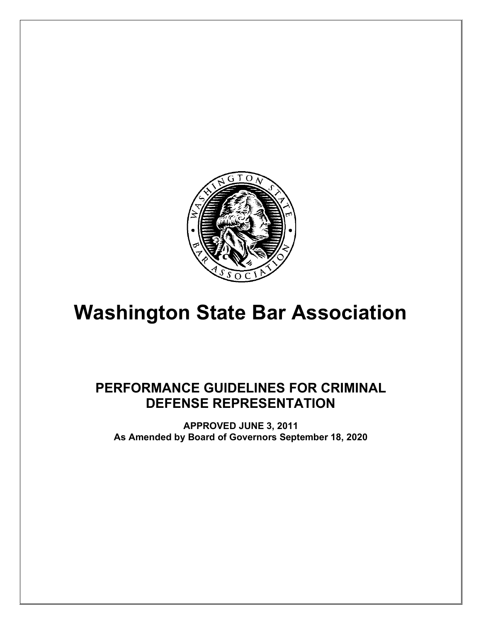

# **Washington State Bar Association**

# **PERFORMANCE GUIDELINES FOR CRIMINAL DEFENSE REPRESENTATION**

**APPROVED JUNE 3, 2011 As Amended by Board of Governors September 18, 2020**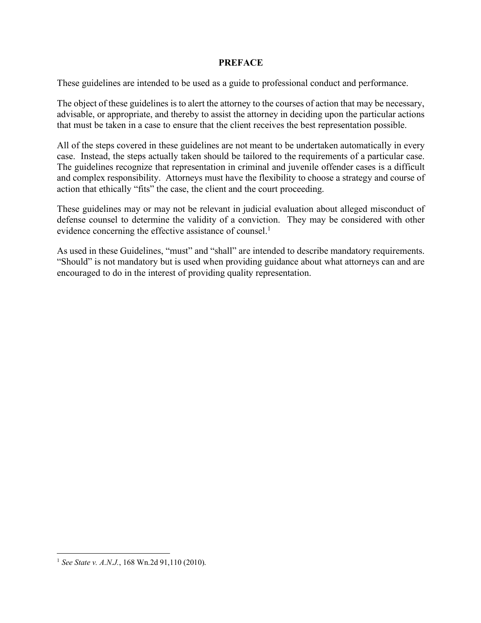#### **PREFACE**

These guidelines are intended to be used as a guide to professional conduct and performance.

The object of these guidelines is to alert the attorney to the courses of action that may be necessary, advisable, or appropriate, and thereby to assist the attorney in deciding upon the particular actions that must be taken in a case to ensure that the client receives the best representation possible.

All of the steps covered in these guidelines are not meant to be undertaken automatically in every case. Instead, the steps actually taken should be tailored to the requirements of a particular case. The guidelines recognize that representation in criminal and juvenile offender cases is a difficult and complex responsibility. Attorneys must have the flexibility to choose a strategy and course of action that ethically "fits" the case, the client and the court proceeding.

These guidelines may or may not be relevant in judicial evaluation about alleged misconduct of defense counsel to determine the validity of a conviction. They may be considered with other evidence concerning the effective assistance of counsel.<sup>1</sup>

As used in these Guidelines, "must" and "shall" are intended to describe mandatory requirements. "Should" is not mandatory but is used when providing guidance about what attorneys can and are encouraged to do in the interest of providing quality representation.

 <sup>1</sup> *See State v. A.N.J.*, 168 Wn.2d 91,110 (2010).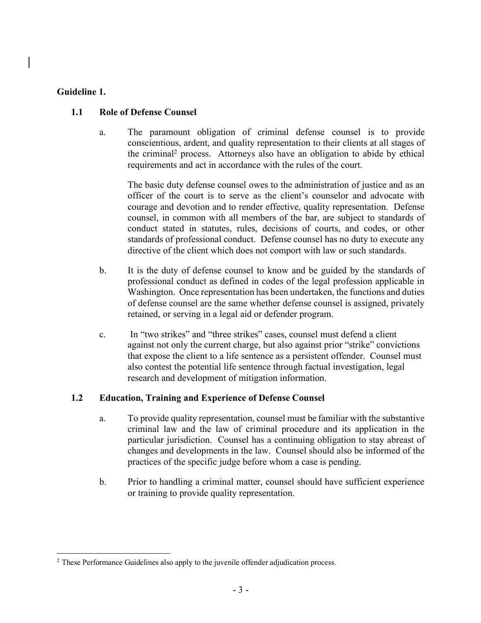#### **Guideline 1.**

#### **1.1 Role of Defense Counsel**

a. The paramount obligation of criminal defense counsel is to provide conscientious, ardent, and quality representation to their clients at all stages of the criminal2 process. Attorneys also have an obligation to abide by ethical requirements and act in accordance with the rules of the court.

The basic duty defense counsel owes to the administration of justice and as an officer of the court is to serve as the client's counselor and advocate with courage and devotion and to render effective, quality representation. Defense counsel, in common with all members of the bar, are subject to standards of conduct stated in statutes, rules, decisions of courts, and codes, or other standards of professional conduct. Defense counsel has no duty to execute any directive of the client which does not comport with law or such standards.

- b. It is the duty of defense counsel to know and be guided by the standards of professional conduct as defined in codes of the legal profession applicable in Washington. Once representation has been undertaken, the functions and duties of defense counsel are the same whether defense counsel is assigned, privately retained, or serving in a legal aid or defender program.
- c. In "two strikes" and "three strikes" cases, counsel must defend a client against not only the current charge, but also against prior "strike" convictions that expose the client to a life sentence as a persistent offender. Counsel must also contest the potential life sentence through factual investigation, legal research and development of mitigation information.

# **1.2 Education, Training and Experience of Defense Counsel**

- a. To provide quality representation, counsel must be familiar with the substantive criminal law and the law of criminal procedure and its application in the particular jurisdiction. Counsel has a continuing obligation to stay abreast of changes and developments in the law. Counsel should also be informed of the practices of the specific judge before whom a case is pending.
- b. Prior to handling a criminal matter, counsel should have sufficient experience or training to provide quality representation.

<sup>&</sup>lt;sup>2</sup> These Performance Guidelines also apply to the juvenile offender adjudication process.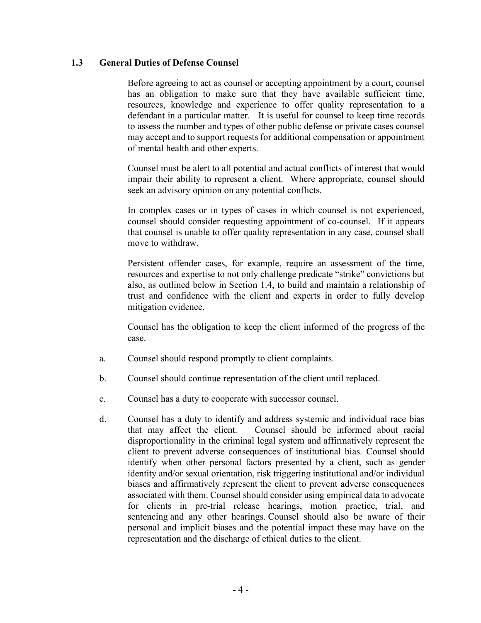#### **1.3 General Duties of Defense Counsel**

Before agreeing to act as counsel or accepting appointment by a court, counsel has an obligation to make sure that they have available sufficient time, resources, knowledge and experience to offer quality representation to a defendant in a particular matter. It is useful for counsel to keep time records to assess the number and types of other public defense or private cases counsel may accept and to support requests for additional compensation or appointment of mental health and other experts.

Counsel must be alert to all potential and actual conflicts of interest that would impair their ability to represent a client. Where appropriate, counsel should seek an advisory opinion on any potential conflicts.

In complex cases or in types of cases in which counsel is not experienced, counsel should consider requesting appointment of co-counsel. If it appears that counsel is unable to offer quality representation in any case, counsel shall move to withdraw.

Persistent offender cases, for example, require an assessment of the time, resources and expertise to not only challenge predicate "strike" convictions but also, as outlined below in Section 1.4, to build and maintain a relationship of trust and confidence with the client and experts in order to fully develop mitigation evidence.

Counsel has the obligation to keep the client informed of the progress of the case.

- a. Counsel should respond promptly to client complaints.
- b. Counsel should continue representation of the client until replaced.
- c. Counsel has a duty to cooperate with successor counsel.
- d. Counsel has a duty to identify and address systemic and individual race bias that may affect the client. Counsel should be informed about racial disproportionality in the criminal legal system and affirmatively represent the client to prevent adverse consequences of institutional bias. Counsel should identify when other personal factors presented by a client, such as gender identity and/or sexual orientation, risk triggering institutional and/or individual biases and affirmatively represent the client to prevent adverse consequences associated with them. Counsel should consider using empirical data to advocate for clients in pre-trial release hearings, motion practice, trial, and sentencing and any other hearings. Counsel should also be aware of their personal and implicit biases and the potential impact these may have on the representation and the discharge of ethical duties to the client.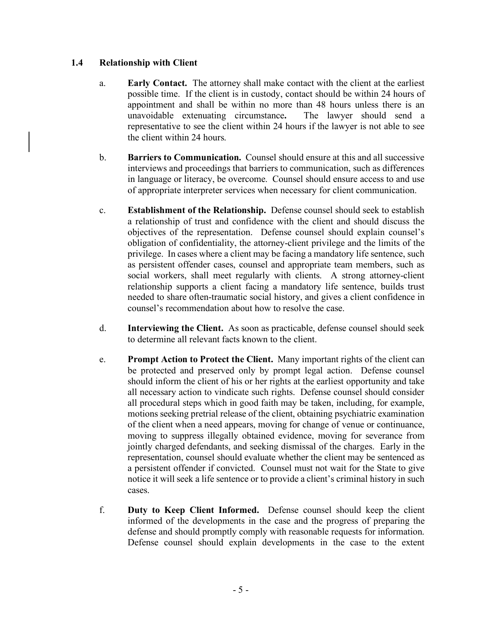# **1.4 Relationship with Client**

- a. **Early Contact.** The attorney shall make contact with the client at the earliest possible time. If the client is in custody, contact should be within 24 hours of appointment and shall be within no more than 48 hours unless there is an unavoidable extenuating circumstance**.** The lawyer should send a representative to see the client within 24 hours if the lawyer is not able to see the client within 24 hours.
- b. **Barriers to Communication.** Counsel should ensure at this and all successive interviews and proceedings that barriers to communication, such as differences in language or literacy, be overcome. Counsel should ensure access to and use of appropriate interpreter services when necessary for client communication.
- c. **Establishment of the Relationship.** Defense counsel should seek to establish a relationship of trust and confidence with the client and should discuss the objectives of the representation. Defense counsel should explain counsel's obligation of confidentiality, the attorney-client privilege and the limits of the privilege. In cases where a client may be facing a mandatory life sentence, such as persistent offender cases, counsel and appropriate team members, such as social workers, shall meet regularly with clients. A strong attorney-client relationship supports a client facing a mandatory life sentence, builds trust needed to share often-traumatic social history, and gives a client confidence in counsel's recommendation about how to resolve the case.
- d. **Interviewing the Client.** As soon as practicable, defense counsel should seek to determine all relevant facts known to the client.
- e. **Prompt Action to Protect the Client.** Many important rights of the client can be protected and preserved only by prompt legal action. Defense counsel should inform the client of his or her rights at the earliest opportunity and take all necessary action to vindicate such rights. Defense counsel should consider all procedural steps which in good faith may be taken, including, for example, motions seeking pretrial release of the client, obtaining psychiatric examination of the client when a need appears, moving for change of venue or continuance, moving to suppress illegally obtained evidence, moving for severance from jointly charged defendants, and seeking dismissal of the charges. Early in the representation, counsel should evaluate whether the client may be sentenced as a persistent offender if convicted. Counsel must not wait for the State to give notice it will seek a life sentence or to provide a client's criminal history in such cases.
- f. **Duty to Keep Client Informed.** Defense counsel should keep the client informed of the developments in the case and the progress of preparing the defense and should promptly comply with reasonable requests for information. Defense counsel should explain developments in the case to the extent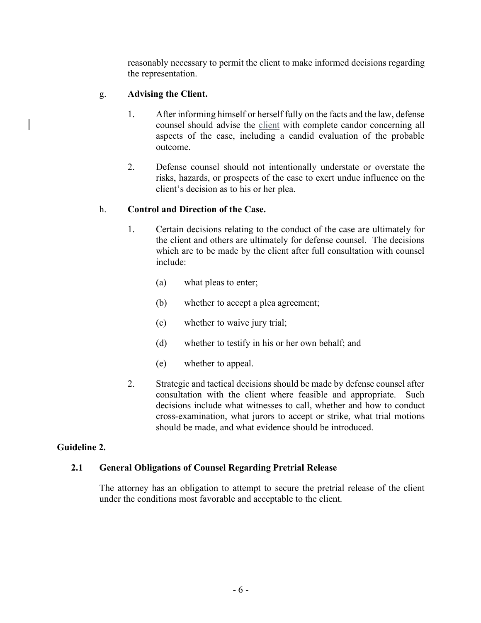reasonably necessary to permit the client to make informed decisions regarding the representation.

# g. **Advising the Client.**

- 1. After informing himself or herself fully on the facts and the law, defense counsel should advise the client with complete candor concerning all aspects of the case, including a candid evaluation of the probable outcome.
- 2. Defense counsel should not intentionally understate or overstate the risks, hazards, or prospects of the case to exert undue influence on the client's decision as to his or her plea.

# h. **Control and Direction of the Case.**

- 1. Certain decisions relating to the conduct of the case are ultimately for the client and others are ultimately for defense counsel. The decisions which are to be made by the client after full consultation with counsel include:
	- (a) what pleas to enter;
	- (b) whether to accept a plea agreement;
	- (c) whether to waive jury trial;
	- (d) whether to testify in his or her own behalf; and
	- (e) whether to appeal.
- 2. Strategic and tactical decisions should be made by defense counsel after consultation with the client where feasible and appropriate. Such decisions include what witnesses to call, whether and how to conduct cross-examination, what jurors to accept or strike, what trial motions should be made, and what evidence should be introduced.

#### **Guideline 2.**

#### **2.1 General Obligations of Counsel Regarding Pretrial Release**

The attorney has an obligation to attempt to secure the pretrial release of the client under the conditions most favorable and acceptable to the client.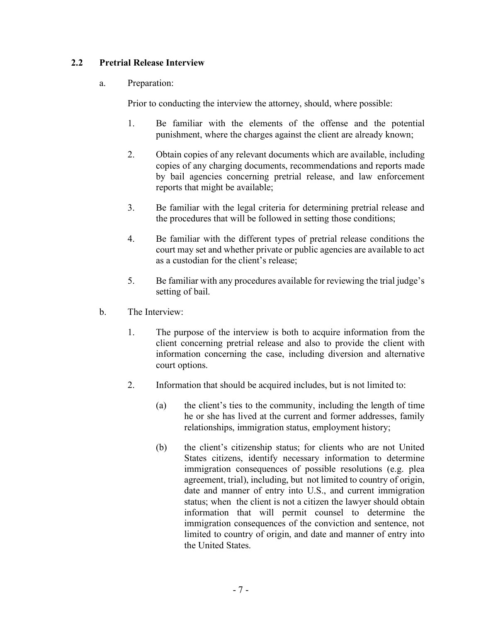# **2.2 Pretrial Release Interview**

a. Preparation:

Prior to conducting the interview the attorney, should, where possible:

- 1. Be familiar with the elements of the offense and the potential punishment, where the charges against the client are already known;
- 2. Obtain copies of any relevant documents which are available, including copies of any charging documents, recommendations and reports made by bail agencies concerning pretrial release, and law enforcement reports that might be available;
- 3. Be familiar with the legal criteria for determining pretrial release and the procedures that will be followed in setting those conditions;
- 4. Be familiar with the different types of pretrial release conditions the court may set and whether private or public agencies are available to act as a custodian for the client's release;
- 5. Be familiar with any procedures available for reviewing the trial judge's setting of bail.
- b. The Interview:
	- 1. The purpose of the interview is both to acquire information from the client concerning pretrial release and also to provide the client with information concerning the case, including diversion and alternative court options.
	- 2. Information that should be acquired includes, but is not limited to:
		- (a) the client's ties to the community, including the length of time he or she has lived at the current and former addresses, family relationships, immigration status, employment history;
		- (b) the client's citizenship status; for clients who are not United States citizens, identify necessary information to determine immigration consequences of possible resolutions (e.g. plea agreement, trial), including, but not limited to country of origin, date and manner of entry into U.S., and current immigration status; when the client is not a citizen the lawyer should obtain information that will permit counsel to determine the immigration consequences of the conviction and sentence, not limited to country of origin, and date and manner of entry into the United States.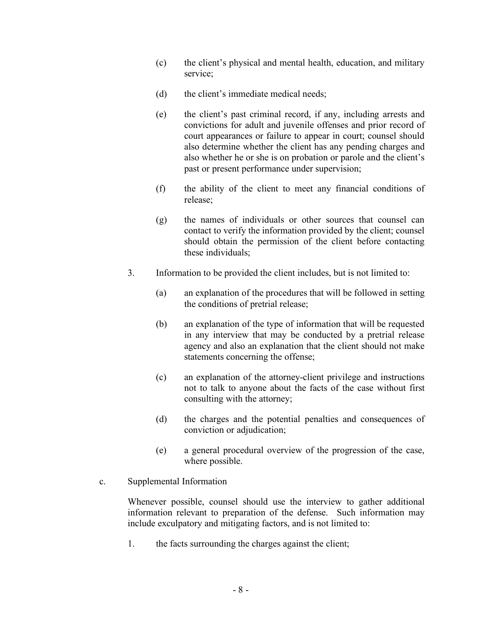- (c) the client's physical and mental health, education, and military service;
- (d) the client's immediate medical needs;
- (e) the client's past criminal record, if any, including arrests and convictions for adult and juvenile offenses and prior record of court appearances or failure to appear in court; counsel should also determine whether the client has any pending charges and also whether he or she is on probation or parole and the client's past or present performance under supervision;
- (f) the ability of the client to meet any financial conditions of release;
- (g) the names of individuals or other sources that counsel can contact to verify the information provided by the client; counsel should obtain the permission of the client before contacting these individuals;
- 3. Information to be provided the client includes, but is not limited to:
	- (a) an explanation of the procedures that will be followed in setting the conditions of pretrial release;
	- (b) an explanation of the type of information that will be requested in any interview that may be conducted by a pretrial release agency and also an explanation that the client should not make statements concerning the offense;
	- (c) an explanation of the attorney-client privilege and instructions not to talk to anyone about the facts of the case without first consulting with the attorney;
	- (d) the charges and the potential penalties and consequences of conviction or adjudication;
	- (e) a general procedural overview of the progression of the case, where possible.
- c. Supplemental Information

Whenever possible, counsel should use the interview to gather additional information relevant to preparation of the defense. Such information may include exculpatory and mitigating factors, and is not limited to:

1. the facts surrounding the charges against the client;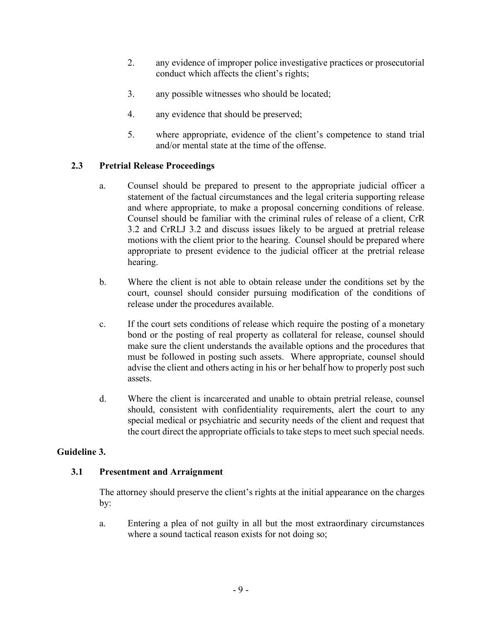- 2. any evidence of improper police investigative practices or prosecutorial conduct which affects the client's rights;
- 3. any possible witnesses who should be located;
- 4. any evidence that should be preserved;
- 5. where appropriate, evidence of the client's competence to stand trial and/or mental state at the time of the offense.

# **2.3 Pretrial Release Proceedings**

- a. Counsel should be prepared to present to the appropriate judicial officer a statement of the factual circumstances and the legal criteria supporting release and where appropriate, to make a proposal concerning conditions of release. Counsel should be familiar with the criminal rules of release of a client, CrR 3.2 and CrRLJ 3.2 and discuss issues likely to be argued at pretrial release motions with the client prior to the hearing. Counsel should be prepared where appropriate to present evidence to the judicial officer at the pretrial release hearing.
- b. Where the client is not able to obtain release under the conditions set by the court, counsel should consider pursuing modification of the conditions of release under the procedures available.
- c. If the court sets conditions of release which require the posting of a monetary bond or the posting of real property as collateral for release, counsel should make sure the client understands the available options and the procedures that must be followed in posting such assets. Where appropriate, counsel should advise the client and others acting in his or her behalf how to properly post such assets.
- d. Where the client is incarcerated and unable to obtain pretrial release, counsel should, consistent with confidentiality requirements, alert the court to any special medical or psychiatric and security needs of the client and request that the court direct the appropriate officials to take steps to meet such special needs.

#### **Guideline 3.**

#### **3.1 Presentment and Arraignment**

The attorney should preserve the client's rights at the initial appearance on the charges by:

a. Entering a plea of not guilty in all but the most extraordinary circumstances where a sound tactical reason exists for not doing so;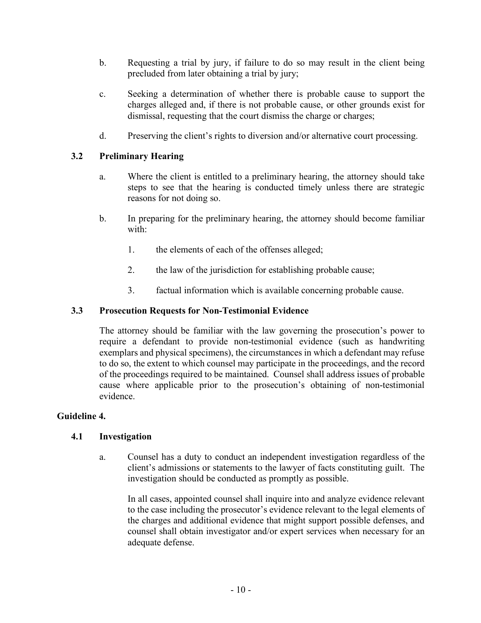- b. Requesting a trial by jury, if failure to do so may result in the client being precluded from later obtaining a trial by jury;
- c. Seeking a determination of whether there is probable cause to support the charges alleged and, if there is not probable cause, or other grounds exist for dismissal, requesting that the court dismiss the charge or charges;
- d. Preserving the client's rights to diversion and/or alternative court processing.

# **3.2 Preliminary Hearing**

- a. Where the client is entitled to a preliminary hearing, the attorney should take steps to see that the hearing is conducted timely unless there are strategic reasons for not doing so.
- b. In preparing for the preliminary hearing, the attorney should become familiar with:
	- 1. the elements of each of the offenses alleged;
	- 2. the law of the jurisdiction for establishing probable cause;
	- 3. factual information which is available concerning probable cause.

#### **3.3 Prosecution Requests for Non-Testimonial Evidence**

The attorney should be familiar with the law governing the prosecution's power to require a defendant to provide non-testimonial evidence (such as handwriting exemplars and physical specimens), the circumstances in which a defendant may refuse to do so, the extent to which counsel may participate in the proceedings, and the record of the proceedings required to be maintained. Counsel shall address issues of probable cause where applicable prior to the prosecution's obtaining of non-testimonial evidence.

#### **Guideline 4.**

#### **4.1 Investigation**

a. Counsel has a duty to conduct an independent investigation regardless of the client's admissions or statements to the lawyer of facts constituting guilt. The investigation should be conducted as promptly as possible.

In all cases, appointed counsel shall inquire into and analyze evidence relevant to the case including the prosecutor's evidence relevant to the legal elements of the charges and additional evidence that might support possible defenses, and counsel shall obtain investigator and/or expert services when necessary for an adequate defense.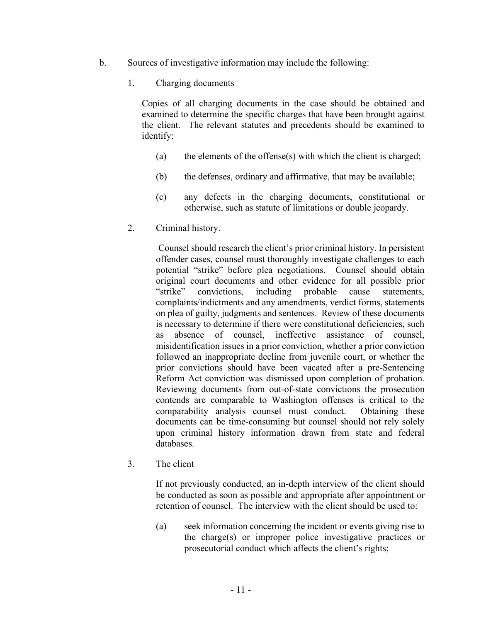- b. Sources of investigative information may include the following:
	- 1. Charging documents

Copies of all charging documents in the case should be obtained and examined to determine the specific charges that have been brought against the client. The relevant statutes and precedents should be examined to identify:

- (a) the elements of the offense(s) with which the client is charged;
- (b) the defenses, ordinary and affirmative, that may be available;
- (c) any defects in the charging documents, constitutional or otherwise, such as statute of limitations or double jeopardy.
- 2. Criminal history.

Counsel should research the client's prior criminal history. In persistent offender cases, counsel must thoroughly investigate challenges to each potential "strike" before plea negotiations. Counsel should obtain original court documents and other evidence for all possible prior "strike" convictions, including probable cause statements, complaints/indictments and any amendments, verdict forms, statements on plea of guilty, judgments and sentences. Review of these documents is necessary to determine if there were constitutional deficiencies, such as absence of counsel, ineffective assistance of counsel misidentification issues in a prior conviction, whether a prior conviction followed an inappropriate decline from juvenile court, or whether the prior convictions should have been vacated after a pre-Sentencing Reform Act conviction was dismissed upon completion of probation. Reviewing documents from out-of-state convictions the prosecution contends are comparable to Washington offenses is critical to the comparability analysis counsel must conduct. Obtaining these documents can be time-consuming but counsel should not rely solely upon criminal history information drawn from state and federal databases.

3. The client

If not previously conducted, an in-depth interview of the client should be conducted as soon as possible and appropriate after appointment or retention of counsel. The interview with the client should be used to:

(a) seek information concerning the incident or events giving rise to the charge(s) or improper police investigative practices or prosecutorial conduct which affects the client's rights;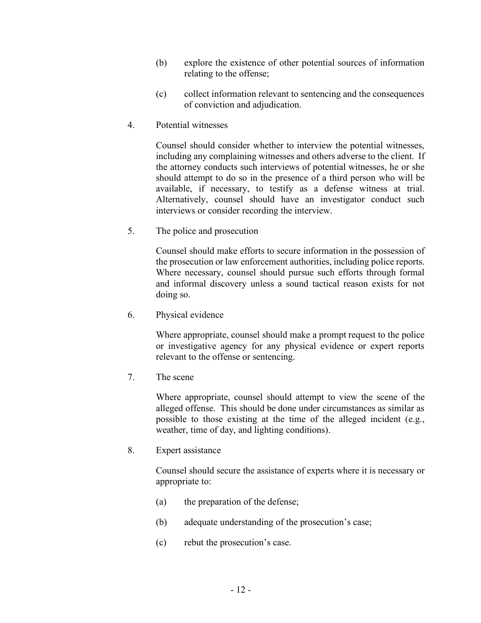- (b) explore the existence of other potential sources of information relating to the offense;
- (c) collect information relevant to sentencing and the consequences of conviction and adjudication.
- 4. Potential witnesses

Counsel should consider whether to interview the potential witnesses, including any complaining witnesses and others adverse to the client. If the attorney conducts such interviews of potential witnesses, he or she should attempt to do so in the presence of a third person who will be available, if necessary, to testify as a defense witness at trial. Alternatively, counsel should have an investigator conduct such interviews or consider recording the interview.

5. The police and prosecution

Counsel should make efforts to secure information in the possession of the prosecution or law enforcement authorities, including police reports. Where necessary, counsel should pursue such efforts through formal and informal discovery unless a sound tactical reason exists for not doing so.

6. Physical evidence

Where appropriate, counsel should make a prompt request to the police or investigative agency for any physical evidence or expert reports relevant to the offense or sentencing.

7. The scene

Where appropriate, counsel should attempt to view the scene of the alleged offense. This should be done under circumstances as similar as possible to those existing at the time of the alleged incident (e.g., weather, time of day, and lighting conditions).

8. Expert assistance

Counsel should secure the assistance of experts where it is necessary or appropriate to:

- (a) the preparation of the defense;
- (b) adequate understanding of the prosecution's case;
- (c) rebut the prosecution's case.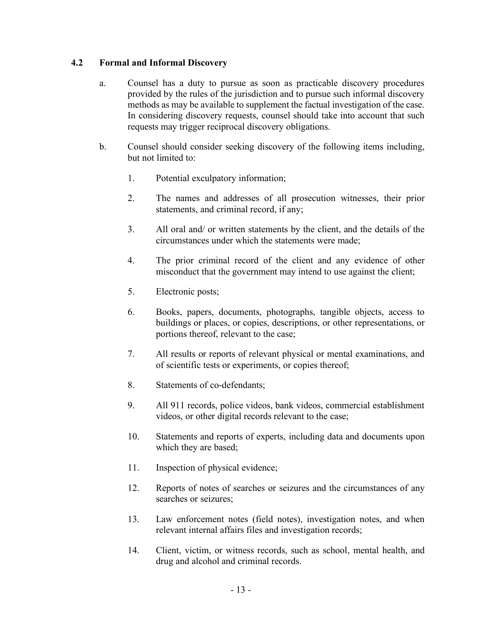# **4.2 Formal and Informal Discovery**

- a. Counsel has a duty to pursue as soon as practicable discovery procedures provided by the rules of the jurisdiction and to pursue such informal discovery methods as may be available to supplement the factual investigation of the case. In considering discovery requests, counsel should take into account that such requests may trigger reciprocal discovery obligations.
- b. Counsel should consider seeking discovery of the following items including, but not limited to:
	- 1. Potential exculpatory information;
	- 2. The names and addresses of all prosecution witnesses, their prior statements, and criminal record, if any;
	- 3. All oral and/ or written statements by the client, and the details of the circumstances under which the statements were made;
	- 4. The prior criminal record of the client and any evidence of other misconduct that the government may intend to use against the client;
	- 5. Electronic posts;
	- 6. Books, papers, documents, photographs, tangible objects, access to buildings or places, or copies, descriptions, or other representations, or portions thereof, relevant to the case;
	- 7. All results or reports of relevant physical or mental examinations, and of scientific tests or experiments, or copies thereof;
	- 8. Statements of co-defendants;
	- 9. All 911 records, police videos, bank videos, commercial establishment videos, or other digital records relevant to the case;
	- 10. Statements and reports of experts, including data and documents upon which they are based;
	- 11. Inspection of physical evidence;
	- 12. Reports of notes of searches or seizures and the circumstances of any searches or seizures;
	- 13. Law enforcement notes (field notes), investigation notes, and when relevant internal affairs files and investigation records;
	- 14. Client, victim, or witness records, such as school, mental health, and drug and alcohol and criminal records.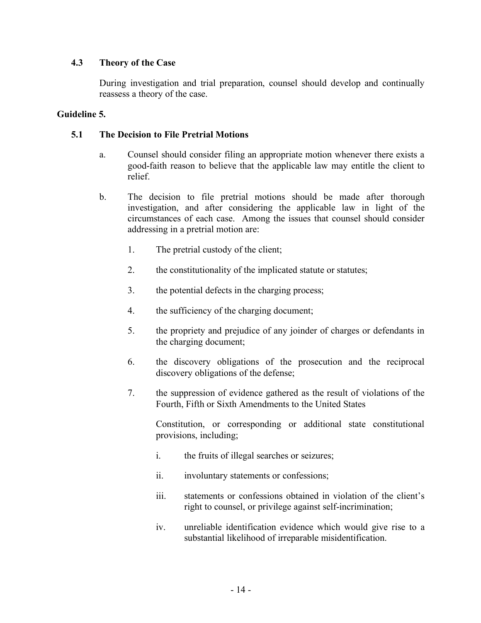#### **4.3 Theory of the Case**

During investigation and trial preparation, counsel should develop and continually reassess a theory of the case.

#### **Guideline 5.**

# **5.1 The Decision to File Pretrial Motions**

- a. Counsel should consider filing an appropriate motion whenever there exists a good-faith reason to believe that the applicable law may entitle the client to relief.
- b. The decision to file pretrial motions should be made after thorough investigation, and after considering the applicable law in light of the circumstances of each case. Among the issues that counsel should consider addressing in a pretrial motion are:
	- 1. The pretrial custody of the client;
	- 2. the constitutionality of the implicated statute or statutes;
	- 3. the potential defects in the charging process;
	- 4. the sufficiency of the charging document;
	- 5. the propriety and prejudice of any joinder of charges or defendants in the charging document;
	- 6. the discovery obligations of the prosecution and the reciprocal discovery obligations of the defense;
	- 7. the suppression of evidence gathered as the result of violations of the Fourth, Fifth or Sixth Amendments to the United States

Constitution, or corresponding or additional state constitutional provisions, including;

- i. the fruits of illegal searches or seizures;
- ii. involuntary statements or confessions;
- iii. statements or confessions obtained in violation of the client's right to counsel, or privilege against self-incrimination;
- iv. unreliable identification evidence which would give rise to a substantial likelihood of irreparable misidentification.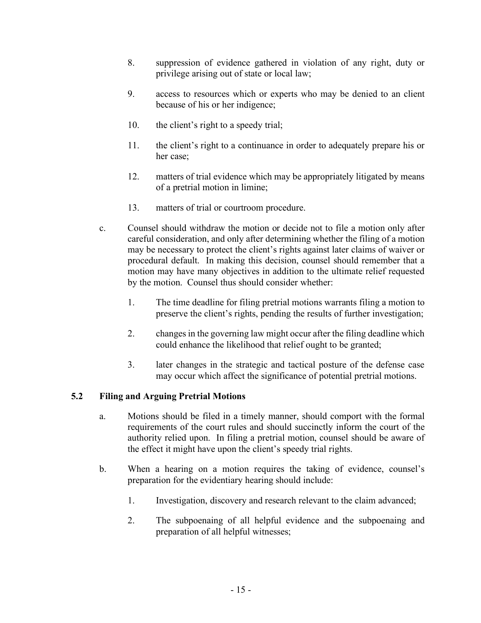- 8. suppression of evidence gathered in violation of any right, duty or privilege arising out of state or local law;
- 9. access to resources which or experts who may be denied to an client because of his or her indigence;
- 10. the client's right to a speedy trial;
- 11. the client's right to a continuance in order to adequately prepare his or her case;
- 12. matters of trial evidence which may be appropriately litigated by means of a pretrial motion in limine;
- 13. matters of trial or courtroom procedure.
- c. Counsel should withdraw the motion or decide not to file a motion only after careful consideration, and only after determining whether the filing of a motion may be necessary to protect the client's rights against later claims of waiver or procedural default. In making this decision, counsel should remember that a motion may have many objectives in addition to the ultimate relief requested by the motion. Counsel thus should consider whether:
	- 1. The time deadline for filing pretrial motions warrants filing a motion to preserve the client's rights, pending the results of further investigation;
	- 2. changes in the governing law might occur after the filing deadline which could enhance the likelihood that relief ought to be granted;
	- 3. later changes in the strategic and tactical posture of the defense case may occur which affect the significance of potential pretrial motions.

# **5.2 Filing and Arguing Pretrial Motions**

- a. Motions should be filed in a timely manner, should comport with the formal requirements of the court rules and should succinctly inform the court of the authority relied upon. In filing a pretrial motion, counsel should be aware of the effect it might have upon the client's speedy trial rights.
- b. When a hearing on a motion requires the taking of evidence, counsel's preparation for the evidentiary hearing should include:
	- 1. Investigation, discovery and research relevant to the claim advanced;
	- 2. The subpoenaing of all helpful evidence and the subpoenaing and preparation of all helpful witnesses;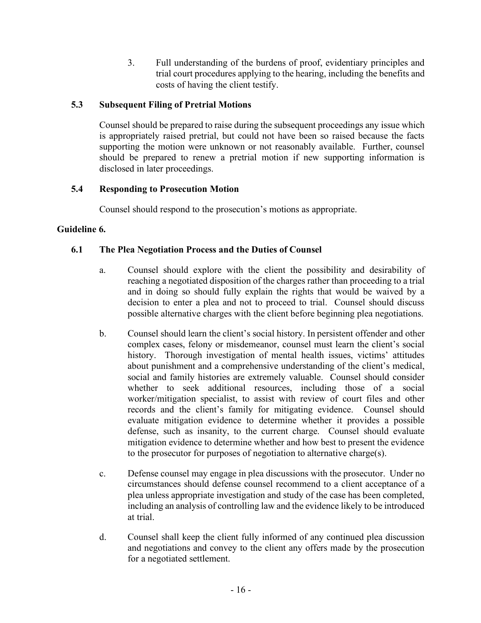3. Full understanding of the burdens of proof, evidentiary principles and trial court procedures applying to the hearing, including the benefits and costs of having the client testify.

# **5.3 Subsequent Filing of Pretrial Motions**

Counsel should be prepared to raise during the subsequent proceedings any issue which is appropriately raised pretrial, but could not have been so raised because the facts supporting the motion were unknown or not reasonably available. Further, counsel should be prepared to renew a pretrial motion if new supporting information is disclosed in later proceedings.

# **5.4 Responding to Prosecution Motion**

Counsel should respond to the prosecution's motions as appropriate.

# **Guideline 6.**

# **6.1 The Plea Negotiation Process and the Duties of Counsel**

- a. Counsel should explore with the client the possibility and desirability of reaching a negotiated disposition of the charges rather than proceeding to a trial and in doing so should fully explain the rights that would be waived by a decision to enter a plea and not to proceed to trial. Counsel should discuss possible alternative charges with the client before beginning plea negotiations.
- b. Counsel should learn the client's social history. In persistent offender and other complex cases, felony or misdemeanor, counsel must learn the client's social history. Thorough investigation of mental health issues, victims' attitudes about punishment and a comprehensive understanding of the client's medical, social and family histories are extremely valuable. Counsel should consider whether to seek additional resources, including those of a social worker/mitigation specialist, to assist with review of court files and other records and the client's family for mitigating evidence. Counsel should evaluate mitigation evidence to determine whether it provides a possible defense, such as insanity, to the current charge. Counsel should evaluate mitigation evidence to determine whether and how best to present the evidence to the prosecutor for purposes of negotiation to alternative charge(s).
- c. Defense counsel may engage in plea discussions with the prosecutor. Under no circumstances should defense counsel recommend to a client acceptance of a plea unless appropriate investigation and study of the case has been completed, including an analysis of controlling law and the evidence likely to be introduced at trial.
- d. Counsel shall keep the client fully informed of any continued plea discussion and negotiations and convey to the client any offers made by the prosecution for a negotiated settlement.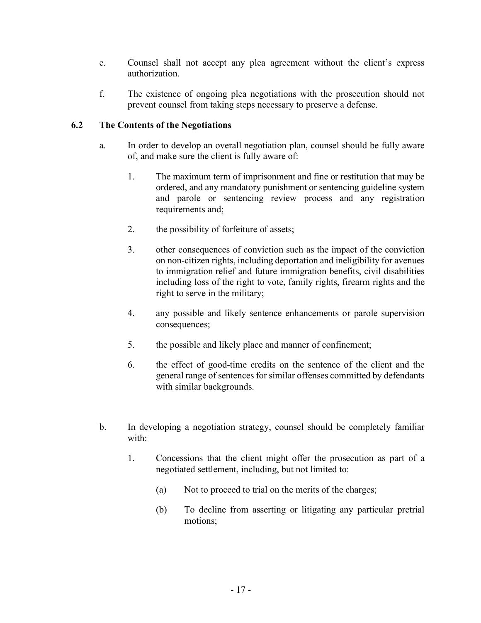- e. Counsel shall not accept any plea agreement without the client's express authorization.
- f. The existence of ongoing plea negotiations with the prosecution should not prevent counsel from taking steps necessary to preserve a defense.

# **6.2 The Contents of the Negotiations**

- a. In order to develop an overall negotiation plan, counsel should be fully aware of, and make sure the client is fully aware of:
	- 1. The maximum term of imprisonment and fine or restitution that may be ordered, and any mandatory punishment or sentencing guideline system and parole or sentencing review process and any registration requirements and:
	- 2. the possibility of forfeiture of assets;
	- 3. other consequences of conviction such as the impact of the conviction on non-citizen rights, including deportation and ineligibility for avenues to immigration relief and future immigration benefits, civil disabilities including loss of the right to vote, family rights, firearm rights and the right to serve in the military;
	- 4. any possible and likely sentence enhancements or parole supervision consequences;
	- 5. the possible and likely place and manner of confinement;
	- 6. the effect of good-time credits on the sentence of the client and the general range of sentences for similar offenses committed by defendants with similar backgrounds.
- b. In developing a negotiation strategy, counsel should be completely familiar with:
	- 1. Concessions that the client might offer the prosecution as part of a negotiated settlement, including, but not limited to:
		- (a) Not to proceed to trial on the merits of the charges;
		- (b) To decline from asserting or litigating any particular pretrial motions;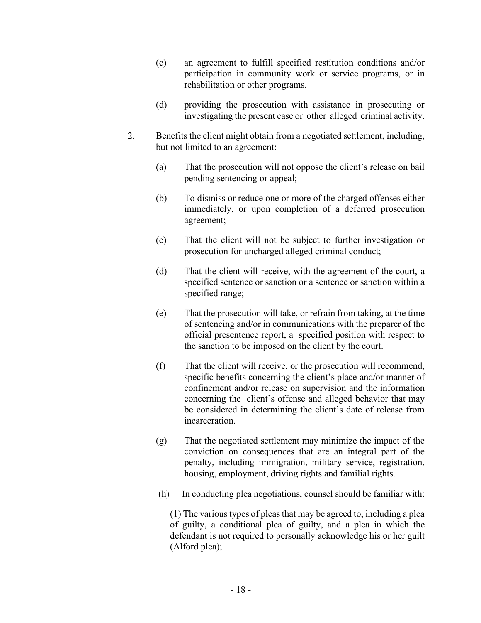- (c) an agreement to fulfill specified restitution conditions and/or participation in community work or service programs, or in rehabilitation or other programs.
- (d) providing the prosecution with assistance in prosecuting or investigating the present case or other alleged criminal activity.
- 2. Benefits the client might obtain from a negotiated settlement, including, but not limited to an agreement:
	- (a) That the prosecution will not oppose the client's release on bail pending sentencing or appeal;
	- (b) To dismiss or reduce one or more of the charged offenses either immediately, or upon completion of a deferred prosecution agreement;
	- (c) That the client will not be subject to further investigation or prosecution for uncharged alleged criminal conduct;
	- (d) That the client will receive, with the agreement of the court, a specified sentence or sanction or a sentence or sanction within a specified range;
	- (e) That the prosecution will take, or refrain from taking, at the time of sentencing and/or in communications with the preparer of the official presentence report, a specified position with respect to the sanction to be imposed on the client by the court.
	- (f) That the client will receive, or the prosecution will recommend, specific benefits concerning the client's place and/or manner of confinement and/or release on supervision and the information concerning the client's offense and alleged behavior that may be considered in determining the client's date of release from incarceration.
	- (g) That the negotiated settlement may minimize the impact of the conviction on consequences that are an integral part of the penalty, including immigration, military service, registration, housing, employment, driving rights and familial rights.
	- (h) In conducting plea negotiations, counsel should be familiar with:

(1) The various types of pleas that may be agreed to, including a plea of guilty, a conditional plea of guilty, and a plea in which the defendant is not required to personally acknowledge his or her guilt (Alford plea);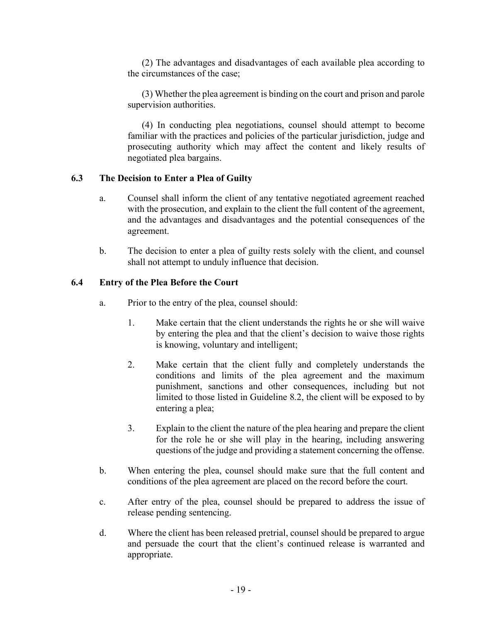(2) The advantages and disadvantages of each available plea according to the circumstances of the case;

(3) Whether the plea agreement is binding on the court and prison and parole supervision authorities.

(4) In conducting plea negotiations, counsel should attempt to become familiar with the practices and policies of the particular jurisdiction, judge and prosecuting authority which may affect the content and likely results of negotiated plea bargains.

#### **6.3 The Decision to Enter a Plea of Guilty**

- a. Counsel shall inform the client of any tentative negotiated agreement reached with the prosecution, and explain to the client the full content of the agreement, and the advantages and disadvantages and the potential consequences of the agreement.
- b. The decision to enter a plea of guilty rests solely with the client, and counsel shall not attempt to unduly influence that decision.

#### **6.4 Entry of the Plea Before the Court**

- a. Prior to the entry of the plea, counsel should:
	- 1. Make certain that the client understands the rights he or she will waive by entering the plea and that the client's decision to waive those rights is knowing, voluntary and intelligent;
	- 2. Make certain that the client fully and completely understands the conditions and limits of the plea agreement and the maximum punishment, sanctions and other consequences, including but not limited to those listed in Guideline 8.2, the client will be exposed to by entering a plea;
	- 3. Explain to the client the nature of the plea hearing and prepare the client for the role he or she will play in the hearing, including answering questions of the judge and providing a statement concerning the offense.
- b. When entering the plea, counsel should make sure that the full content and conditions of the plea agreement are placed on the record before the court.
- c. After entry of the plea, counsel should be prepared to address the issue of release pending sentencing.
- d. Where the client has been released pretrial, counsel should be prepared to argue and persuade the court that the client's continued release is warranted and appropriate.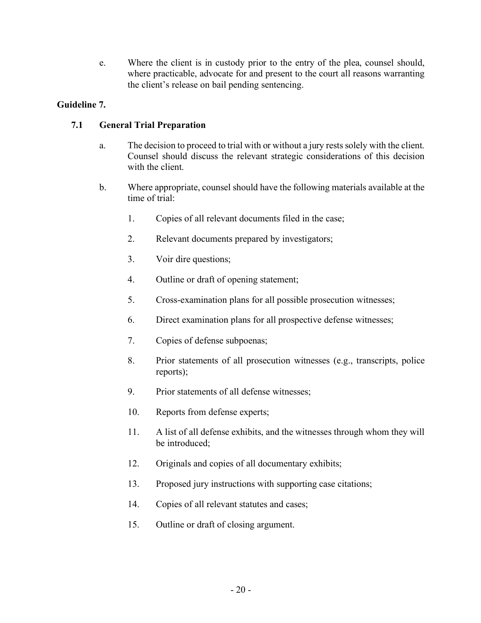e. Where the client is in custody prior to the entry of the plea, counsel should, where practicable, advocate for and present to the court all reasons warranting the client's release on bail pending sentencing.

# **Guideline 7.**

# **7.1 General Trial Preparation**

- a. The decision to proceed to trial with or without a jury rests solely with the client. Counsel should discuss the relevant strategic considerations of this decision with the client.
- b. Where appropriate, counsel should have the following materials available at the time of trial:
	- 1. Copies of all relevant documents filed in the case;
	- 2. Relevant documents prepared by investigators;
	- 3. Voir dire questions;
	- 4. Outline or draft of opening statement;
	- 5. Cross-examination plans for all possible prosecution witnesses;
	- 6. Direct examination plans for all prospective defense witnesses;
	- 7. Copies of defense subpoenas;
	- 8. Prior statements of all prosecution witnesses (e.g., transcripts, police reports);
	- 9. Prior statements of all defense witnesses;
	- 10. Reports from defense experts;
	- 11. A list of all defense exhibits, and the witnesses through whom they will be introduced;
	- 12. Originals and copies of all documentary exhibits;
	- 13. Proposed jury instructions with supporting case citations;
	- 14. Copies of all relevant statutes and cases;
	- 15. Outline or draft of closing argument.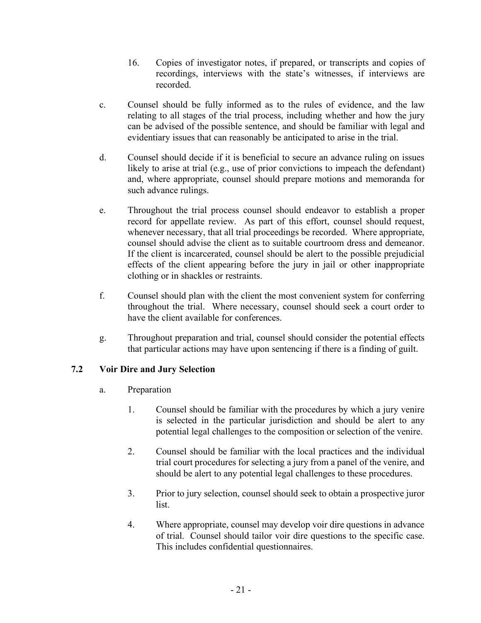- 16. Copies of investigator notes, if prepared, or transcripts and copies of recordings, interviews with the state's witnesses, if interviews are recorded.
- c. Counsel should be fully informed as to the rules of evidence, and the law relating to all stages of the trial process, including whether and how the jury can be advised of the possible sentence, and should be familiar with legal and evidentiary issues that can reasonably be anticipated to arise in the trial.
- d. Counsel should decide if it is beneficial to secure an advance ruling on issues likely to arise at trial (e.g., use of prior convictions to impeach the defendant) and, where appropriate, counsel should prepare motions and memoranda for such advance rulings.
- e. Throughout the trial process counsel should endeavor to establish a proper record for appellate review. As part of this effort, counsel should request, whenever necessary, that all trial proceedings be recorded. Where appropriate, counsel should advise the client as to suitable courtroom dress and demeanor. If the client is incarcerated, counsel should be alert to the possible prejudicial effects of the client appearing before the jury in jail or other inappropriate clothing or in shackles or restraints.
- f. Counsel should plan with the client the most convenient system for conferring throughout the trial. Where necessary, counsel should seek a court order to have the client available for conferences.
- g. Throughout preparation and trial, counsel should consider the potential effects that particular actions may have upon sentencing if there is a finding of guilt.

# **7.2 Voir Dire and Jury Selection**

- a. Preparation
	- 1. Counsel should be familiar with the procedures by which a jury venire is selected in the particular jurisdiction and should be alert to any potential legal challenges to the composition or selection of the venire.
	- 2. Counsel should be familiar with the local practices and the individual trial court procedures for selecting a jury from a panel of the venire, and should be alert to any potential legal challenges to these procedures.
	- 3. Prior to jury selection, counsel should seek to obtain a prospective juror list.
	- 4. Where appropriate, counsel may develop voir dire questions in advance of trial. Counsel should tailor voir dire questions to the specific case. This includes confidential questionnaires.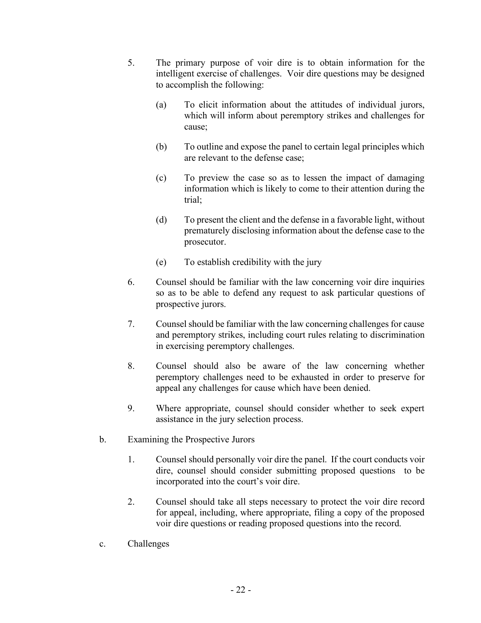- 5. The primary purpose of voir dire is to obtain information for the intelligent exercise of challenges. Voir dire questions may be designed to accomplish the following:
	- (a) To elicit information about the attitudes of individual jurors, which will inform about peremptory strikes and challenges for cause;
	- (b) To outline and expose the panel to certain legal principles which are relevant to the defense case;
	- (c) To preview the case so as to lessen the impact of damaging information which is likely to come to their attention during the trial;
	- (d) To present the client and the defense in a favorable light, without prematurely disclosing information about the defense case to the prosecutor.
	- (e) To establish credibility with the jury
- 6. Counsel should be familiar with the law concerning voir dire inquiries so as to be able to defend any request to ask particular questions of prospective jurors.
- 7. Counsel should be familiar with the law concerning challenges for cause and peremptory strikes, including court rules relating to discrimination in exercising peremptory challenges.
- 8. Counsel should also be aware of the law concerning whether peremptory challenges need to be exhausted in order to preserve for appeal any challenges for cause which have been denied.
- 9. Where appropriate, counsel should consider whether to seek expert assistance in the jury selection process.
- b. Examining the Prospective Jurors
	- 1. Counsel should personally voir dire the panel. If the court conducts voir dire, counsel should consider submitting proposed questions to be incorporated into the court's voir dire.
	- 2. Counsel should take all steps necessary to protect the voir dire record for appeal, including, where appropriate, filing a copy of the proposed voir dire questions or reading proposed questions into the record.
- c. Challenges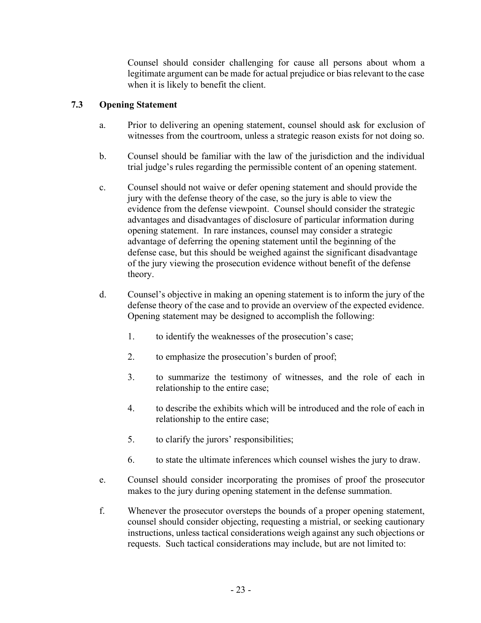Counsel should consider challenging for cause all persons about whom a legitimate argument can be made for actual prejudice or bias relevant to the case when it is likely to benefit the client.

# **7.3 Opening Statement**

- a. Prior to delivering an opening statement, counsel should ask for exclusion of witnesses from the courtroom, unless a strategic reason exists for not doing so.
- b. Counsel should be familiar with the law of the jurisdiction and the individual trial judge's rules regarding the permissible content of an opening statement.
- c. Counsel should not waive or defer opening statement and should provide the jury with the defense theory of the case, so the jury is able to view the evidence from the defense viewpoint. Counsel should consider the strategic advantages and disadvantages of disclosure of particular information during opening statement. In rare instances, counsel may consider a strategic advantage of deferring the opening statement until the beginning of the defense case, but this should be weighed against the significant disadvantage of the jury viewing the prosecution evidence without benefit of the defense theory.
- d. Counsel's objective in making an opening statement is to inform the jury of the defense theory of the case and to provide an overview of the expected evidence. Opening statement may be designed to accomplish the following:
	- 1. to identify the weaknesses of the prosecution's case;
	- 2. to emphasize the prosecution's burden of proof;
	- 3. to summarize the testimony of witnesses, and the role of each in relationship to the entire case;
	- 4. to describe the exhibits which will be introduced and the role of each in relationship to the entire case;
	- 5. to clarify the jurors' responsibilities;
	- 6. to state the ultimate inferences which counsel wishes the jury to draw.
- e. Counsel should consider incorporating the promises of proof the prosecutor makes to the jury during opening statement in the defense summation.
- f. Whenever the prosecutor oversteps the bounds of a proper opening statement, counsel should consider objecting, requesting a mistrial, or seeking cautionary instructions, unless tactical considerations weigh against any such objections or requests. Such tactical considerations may include, but are not limited to: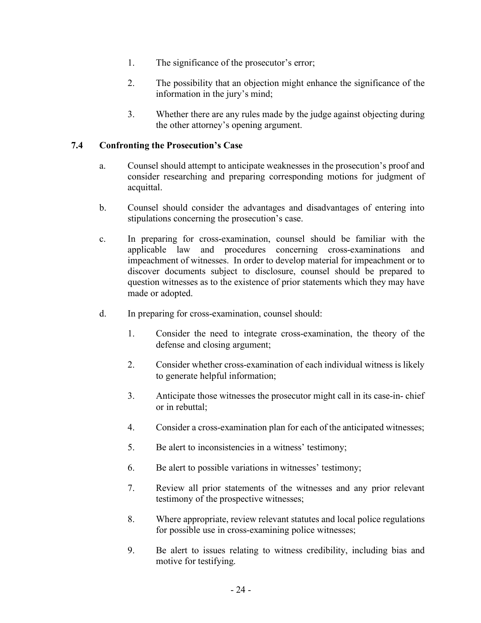- 1. The significance of the prosecutor's error;
- 2. The possibility that an objection might enhance the significance of the information in the jury's mind;
- 3. Whether there are any rules made by the judge against objecting during the other attorney's opening argument.

# **7.4 Confronting the Prosecution's Case**

- a. Counsel should attempt to anticipate weaknesses in the prosecution's proof and consider researching and preparing corresponding motions for judgment of acquittal.
- b. Counsel should consider the advantages and disadvantages of entering into stipulations concerning the prosecution's case.
- c. In preparing for cross-examination, counsel should be familiar with the applicable law and procedures concerning cross-examinations and impeachment of witnesses. In order to develop material for impeachment or to discover documents subject to disclosure, counsel should be prepared to question witnesses as to the existence of prior statements which they may have made or adopted.
- d. In preparing for cross-examination, counsel should:
	- 1. Consider the need to integrate cross-examination, the theory of the defense and closing argument;
	- 2. Consider whether cross-examination of each individual witness is likely to generate helpful information;
	- 3. Anticipate those witnesses the prosecutor might call in its case-in- chief or in rebuttal;
	- 4. Consider a cross-examination plan for each of the anticipated witnesses;
	- 5. Be alert to inconsistencies in a witness' testimony;
	- 6. Be alert to possible variations in witnesses' testimony;
	- 7. Review all prior statements of the witnesses and any prior relevant testimony of the prospective witnesses;
	- 8. Where appropriate, review relevant statutes and local police regulations for possible use in cross-examining police witnesses;
	- 9. Be alert to issues relating to witness credibility, including bias and motive for testifying.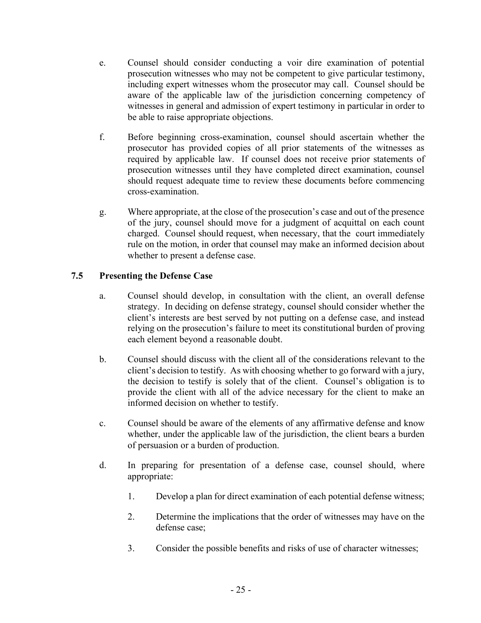- e. Counsel should consider conducting a voir dire examination of potential prosecution witnesses who may not be competent to give particular testimony, including expert witnesses whom the prosecutor may call. Counsel should be aware of the applicable law of the jurisdiction concerning competency of witnesses in general and admission of expert testimony in particular in order to be able to raise appropriate objections.
- f. Before beginning cross-examination, counsel should ascertain whether the prosecutor has provided copies of all prior statements of the witnesses as required by applicable law. If counsel does not receive prior statements of prosecution witnesses until they have completed direct examination, counsel should request adequate time to review these documents before commencing cross-examination.
- g. Where appropriate, at the close of the prosecution's case and out of the presence of the jury, counsel should move for a judgment of acquittal on each count charged. Counsel should request, when necessary, that the court immediately rule on the motion, in order that counsel may make an informed decision about whether to present a defense case.

# **7.5 Presenting the Defense Case**

- a. Counsel should develop, in consultation with the client, an overall defense strategy. In deciding on defense strategy, counsel should consider whether the client's interests are best served by not putting on a defense case, and instead relying on the prosecution's failure to meet its constitutional burden of proving each element beyond a reasonable doubt.
- b. Counsel should discuss with the client all of the considerations relevant to the client's decision to testify. As with choosing whether to go forward with a jury, the decision to testify is solely that of the client. Counsel's obligation is to provide the client with all of the advice necessary for the client to make an informed decision on whether to testify.
- c. Counsel should be aware of the elements of any affirmative defense and know whether, under the applicable law of the jurisdiction, the client bears a burden of persuasion or a burden of production.
- d. In preparing for presentation of a defense case, counsel should, where appropriate:
	- 1. Develop a plan for direct examination of each potential defense witness;
	- 2. Determine the implications that the order of witnesses may have on the defense case;
	- 3. Consider the possible benefits and risks of use of character witnesses;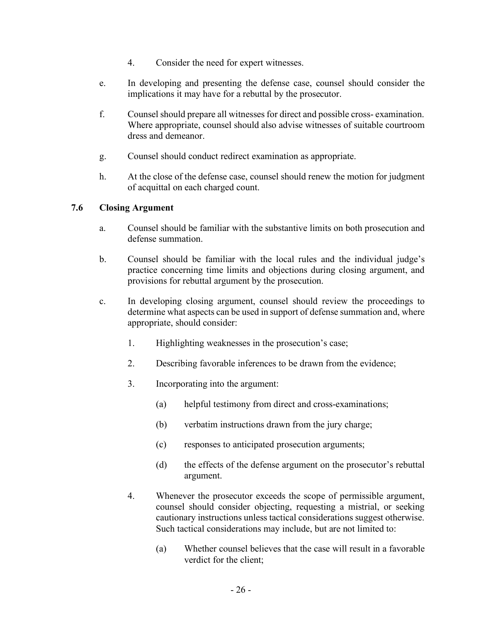- 4. Consider the need for expert witnesses.
- e. In developing and presenting the defense case, counsel should consider the implications it may have for a rebuttal by the prosecutor.
- f. Counsel should prepare all witnesses for direct and possible cross- examination. Where appropriate, counsel should also advise witnesses of suitable courtroom dress and demeanor.
- g. Counsel should conduct redirect examination as appropriate.
- h. At the close of the defense case, counsel should renew the motion for judgment of acquittal on each charged count.

# **7.6 Closing Argument**

- a. Counsel should be familiar with the substantive limits on both prosecution and defense summation.
- b. Counsel should be familiar with the local rules and the individual judge's practice concerning time limits and objections during closing argument, and provisions for rebuttal argument by the prosecution.
- c. In developing closing argument, counsel should review the proceedings to determine what aspects can be used in support of defense summation and, where appropriate, should consider:
	- 1. Highlighting weaknesses in the prosecution's case;
	- 2. Describing favorable inferences to be drawn from the evidence;
	- 3. Incorporating into the argument:
		- (a) helpful testimony from direct and cross-examinations;
		- (b) verbatim instructions drawn from the jury charge;
		- (c) responses to anticipated prosecution arguments;
		- (d) the effects of the defense argument on the prosecutor's rebuttal argument.
	- 4. Whenever the prosecutor exceeds the scope of permissible argument, counsel should consider objecting, requesting a mistrial, or seeking cautionary instructions unless tactical considerations suggest otherwise. Such tactical considerations may include, but are not limited to:
		- (a) Whether counsel believes that the case will result in a favorable verdict for the client;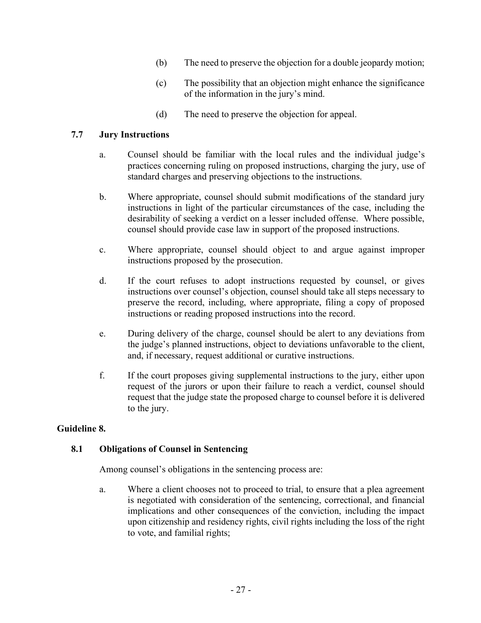- (b) The need to preserve the objection for a double jeopardy motion;
- (c) The possibility that an objection might enhance the significance of the information in the jury's mind.
- (d) The need to preserve the objection for appeal.

#### **7.7 Jury Instructions**

- a. Counsel should be familiar with the local rules and the individual judge's practices concerning ruling on proposed instructions, charging the jury, use of standard charges and preserving objections to the instructions.
- b. Where appropriate, counsel should submit modifications of the standard jury instructions in light of the particular circumstances of the case, including the desirability of seeking a verdict on a lesser included offense. Where possible, counsel should provide case law in support of the proposed instructions.
- c. Where appropriate, counsel should object to and argue against improper instructions proposed by the prosecution.
- d. If the court refuses to adopt instructions requested by counsel, or gives instructions over counsel's objection, counsel should take all steps necessary to preserve the record, including, where appropriate, filing a copy of proposed instructions or reading proposed instructions into the record.
- e. During delivery of the charge, counsel should be alert to any deviations from the judge's planned instructions, object to deviations unfavorable to the client, and, if necessary, request additional or curative instructions.
- f. If the court proposes giving supplemental instructions to the jury, either upon request of the jurors or upon their failure to reach a verdict, counsel should request that the judge state the proposed charge to counsel before it is delivered to the jury.

#### **Guideline 8.**

#### **8.1 Obligations of Counsel in Sentencing**

Among counsel's obligations in the sentencing process are:

a. Where a client chooses not to proceed to trial, to ensure that a plea agreement is negotiated with consideration of the sentencing, correctional, and financial implications and other consequences of the conviction, including the impact upon citizenship and residency rights, civil rights including the loss of the right to vote, and familial rights;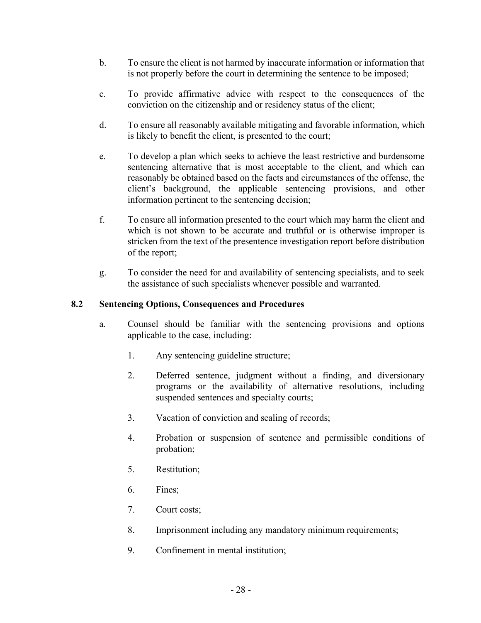- b. To ensure the client is not harmed by inaccurate information or information that is not properly before the court in determining the sentence to be imposed;
- c. To provide affirmative advice with respect to the consequences of the conviction on the citizenship and or residency status of the client;
- d. To ensure all reasonably available mitigating and favorable information, which is likely to benefit the client, is presented to the court;
- e. To develop a plan which seeks to achieve the least restrictive and burdensome sentencing alternative that is most acceptable to the client, and which can reasonably be obtained based on the facts and circumstances of the offense, the client's background, the applicable sentencing provisions, and other information pertinent to the sentencing decision;
- f. To ensure all information presented to the court which may harm the client and which is not shown to be accurate and truthful or is otherwise improper is stricken from the text of the presentence investigation report before distribution of the report;
- g. To consider the need for and availability of sentencing specialists, and to seek the assistance of such specialists whenever possible and warranted.

# **8.2 Sentencing Options, Consequences and Procedures**

- a. Counsel should be familiar with the sentencing provisions and options applicable to the case, including:
	- 1. Any sentencing guideline structure;
	- 2. Deferred sentence, judgment without a finding, and diversionary programs or the availability of alternative resolutions, including suspended sentences and specialty courts;
	- 3. Vacation of conviction and sealing of records;
	- 4. Probation or suspension of sentence and permissible conditions of probation;
	- 5. Restitution;
	- 6. Fines;
	- 7. Court costs;
	- 8. Imprisonment including any mandatory minimum requirements;
	- 9. Confinement in mental institution;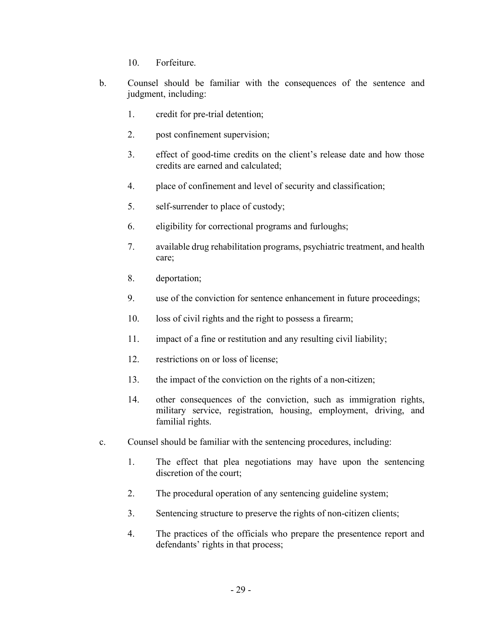- 10. Forfeiture.
- b. Counsel should be familiar with the consequences of the sentence and judgment, including:
	- 1. credit for pre-trial detention;
	- 2. post confinement supervision;
	- 3. effect of good-time credits on the client's release date and how those credits are earned and calculated;
	- 4. place of confinement and level of security and classification;
	- 5. self-surrender to place of custody;
	- 6. eligibility for correctional programs and furloughs;
	- 7. available drug rehabilitation programs, psychiatric treatment, and health care;
	- 8. deportation;
	- 9. use of the conviction for sentence enhancement in future proceedings;
	- 10. loss of civil rights and the right to possess a firearm;
	- 11. impact of a fine or restitution and any resulting civil liability;
	- 12. restrictions on or loss of license;
	- 13. the impact of the conviction on the rights of a non-citizen;
	- 14. other consequences of the conviction, such as immigration rights, military service, registration, housing, employment, driving, and familial rights.
- c. Counsel should be familiar with the sentencing procedures, including:
	- 1. The effect that plea negotiations may have upon the sentencing discretion of the court;
	- 2. The procedural operation of any sentencing guideline system;
	- 3. Sentencing structure to preserve the rights of non-citizen clients;
	- 4. The practices of the officials who prepare the presentence report and defendants' rights in that process;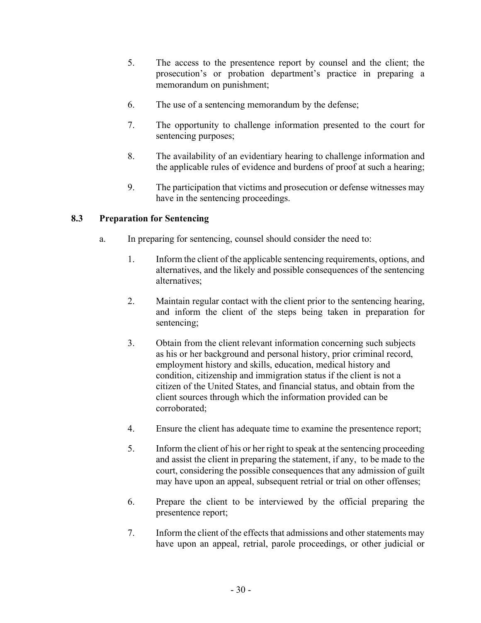- 5. The access to the presentence report by counsel and the client; the prosecution's or probation department's practice in preparing a memorandum on punishment;
- 6. The use of a sentencing memorandum by the defense;
- 7. The opportunity to challenge information presented to the court for sentencing purposes;
- 8. The availability of an evidentiary hearing to challenge information and the applicable rules of evidence and burdens of proof at such a hearing;
- 9. The participation that victims and prosecution or defense witnesses may have in the sentencing proceedings.

# **8.3 Preparation for Sentencing**

- a. In preparing for sentencing, counsel should consider the need to:
	- 1. Inform the client of the applicable sentencing requirements, options, and alternatives, and the likely and possible consequences of the sentencing alternatives;
	- 2. Maintain regular contact with the client prior to the sentencing hearing, and inform the client of the steps being taken in preparation for sentencing;
	- 3. Obtain from the client relevant information concerning such subjects as his or her background and personal history, prior criminal record, employment history and skills, education, medical history and condition, citizenship and immigration status if the client is not a citizen of the United States, and financial status, and obtain from the client sources through which the information provided can be corroborated;
	- 4. Ensure the client has adequate time to examine the presentence report;
	- 5. Inform the client of his or her right to speak at the sentencing proceeding and assist the client in preparing the statement, if any, to be made to the court, considering the possible consequences that any admission of guilt may have upon an appeal, subsequent retrial or trial on other offenses;
	- 6. Prepare the client to be interviewed by the official preparing the presentence report;
	- 7. Inform the client of the effects that admissions and other statements may have upon an appeal, retrial, parole proceedings, or other judicial or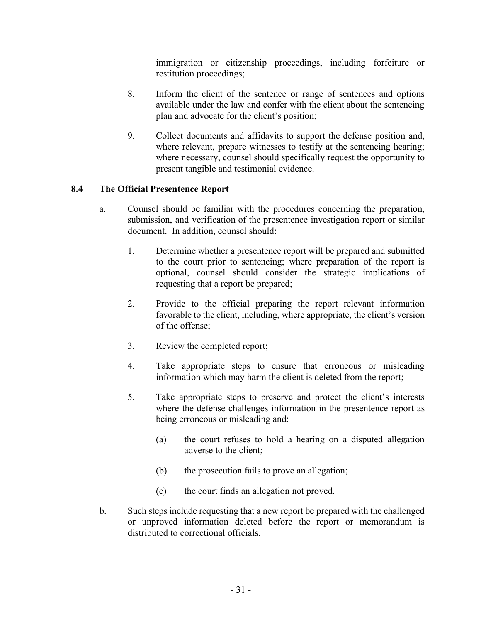immigration or citizenship proceedings, including forfeiture or restitution proceedings;

- 8. Inform the client of the sentence or range of sentences and options available under the law and confer with the client about the sentencing plan and advocate for the client's position;
- 9. Collect documents and affidavits to support the defense position and, where relevant, prepare witnesses to testify at the sentencing hearing; where necessary, counsel should specifically request the opportunity to present tangible and testimonial evidence.

# **8.4 The Official Presentence Report**

- a. Counsel should be familiar with the procedures concerning the preparation, submission, and verification of the presentence investigation report or similar document. In addition, counsel should:
	- 1. Determine whether a presentence report will be prepared and submitted to the court prior to sentencing; where preparation of the report is optional, counsel should consider the strategic implications of requesting that a report be prepared;
	- 2. Provide to the official preparing the report relevant information favorable to the client, including, where appropriate, the client's version of the offense;
	- 3. Review the completed report;
	- 4. Take appropriate steps to ensure that erroneous or misleading information which may harm the client is deleted from the report;
	- 5. Take appropriate steps to preserve and protect the client's interests where the defense challenges information in the presentence report as being erroneous or misleading and:
		- (a) the court refuses to hold a hearing on a disputed allegation adverse to the client;
		- (b) the prosecution fails to prove an allegation;
		- (c) the court finds an allegation not proved.
- b. Such steps include requesting that a new report be prepared with the challenged or unproved information deleted before the report or memorandum is distributed to correctional officials.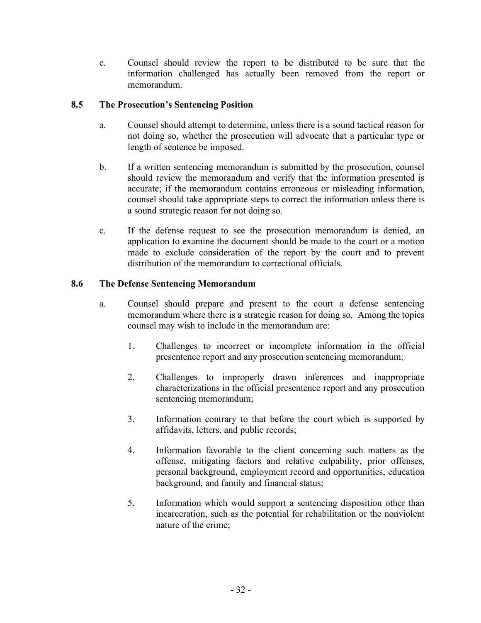c. Counsel should review the report to be distributed to be sure that the information challenged has actually been removed from the report or memorandum.

# **8.5 The Prosecution's Sentencing Position**

- a. Counsel should attempt to determine, unless there is a sound tactical reason for not doing so, whether the prosecution will advocate that a particular type or length of sentence be imposed.
- b. If a written sentencing memorandum is submitted by the prosecution, counsel should review the memorandum and verify that the information presented is accurate; if the memorandum contains erroneous or misleading information, counsel should take appropriate steps to correct the information unless there is a sound strategic reason for not doing so.
- c. If the defense request to see the prosecution memorandum is denied, an application to examine the document should be made to the court or a motion made to exclude consideration of the report by the court and to prevent distribution of the memorandum to correctional officials.

# **8.6 The Defense Sentencing Memorandum**

- a. Counsel should prepare and present to the court a defense sentencing memorandum where there is a strategic reason for doing so. Among the topics counsel may wish to include in the memorandum are:
	- 1. Challenges to incorrect or incomplete information in the official presentence report and any prosecution sentencing memorandum;
	- 2. Challenges to improperly drawn inferences and inappropriate characterizations in the official presentence report and any prosecution sentencing memorandum;
	- 3. Information contrary to that before the court which is supported by affidavits, letters, and public records;
	- 4. Information favorable to the client concerning such matters as the offense, mitigating factors and relative culpability, prior offenses, personal background, employment record and opportunities, education background, and family and financial status;
	- 5. Information which would support a sentencing disposition other than incarceration, such as the potential for rehabilitation or the nonviolent nature of the crime;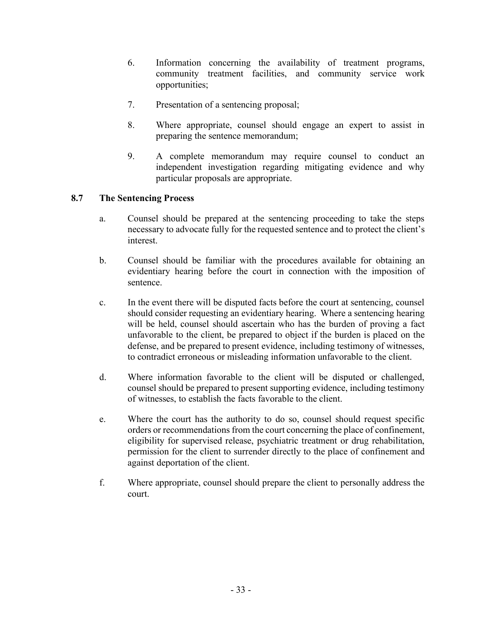- 6. Information concerning the availability of treatment programs, community treatment facilities, and community service work opportunities;
- 7. Presentation of a sentencing proposal;
- 8. Where appropriate, counsel should engage an expert to assist in preparing the sentence memorandum;
- 9. A complete memorandum may require counsel to conduct an independent investigation regarding mitigating evidence and why particular proposals are appropriate.

#### **8.7 The Sentencing Process**

- a. Counsel should be prepared at the sentencing proceeding to take the steps necessary to advocate fully for the requested sentence and to protect the client's interest.
- b. Counsel should be familiar with the procedures available for obtaining an evidentiary hearing before the court in connection with the imposition of sentence.
- c. In the event there will be disputed facts before the court at sentencing, counsel should consider requesting an evidentiary hearing. Where a sentencing hearing will be held, counsel should ascertain who has the burden of proving a fact unfavorable to the client, be prepared to object if the burden is placed on the defense, and be prepared to present evidence, including testimony of witnesses, to contradict erroneous or misleading information unfavorable to the client.
- d. Where information favorable to the client will be disputed or challenged, counsel should be prepared to present supporting evidence, including testimony of witnesses, to establish the facts favorable to the client.
- e. Where the court has the authority to do so, counsel should request specific orders or recommendations from the court concerning the place of confinement, eligibility for supervised release, psychiatric treatment or drug rehabilitation, permission for the client to surrender directly to the place of confinement and against deportation of the client.
- f. Where appropriate, counsel should prepare the client to personally address the court.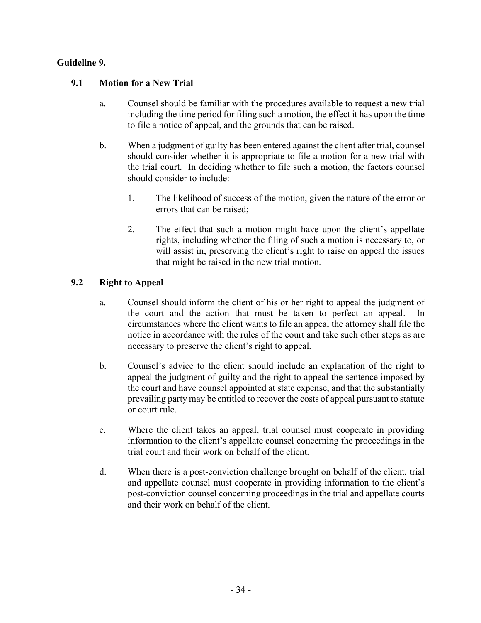# **Guideline 9.**

# **9.1 Motion for a New Trial**

- a. Counsel should be familiar with the procedures available to request a new trial including the time period for filing such a motion, the effect it has upon the time to file a notice of appeal, and the grounds that can be raised.
- b. When a judgment of guilty has been entered against the client after trial, counsel should consider whether it is appropriate to file a motion for a new trial with the trial court. In deciding whether to file such a motion, the factors counsel should consider to include:
	- 1. The likelihood of success of the motion, given the nature of the error or errors that can be raised;
	- 2. The effect that such a motion might have upon the client's appellate rights, including whether the filing of such a motion is necessary to, or will assist in, preserving the client's right to raise on appeal the issues that might be raised in the new trial motion.

# **9.2 Right to Appeal**

- a. Counsel should inform the client of his or her right to appeal the judgment of the court and the action that must be taken to perfect an appeal. In circumstances where the client wants to file an appeal the attorney shall file the notice in accordance with the rules of the court and take such other steps as are necessary to preserve the client's right to appeal.
- b. Counsel's advice to the client should include an explanation of the right to appeal the judgment of guilty and the right to appeal the sentence imposed by the court and have counsel appointed at state expense, and that the substantially prevailing party may be entitled to recover the costs of appeal pursuant to statute or court rule.
- c. Where the client takes an appeal, trial counsel must cooperate in providing information to the client's appellate counsel concerning the proceedings in the trial court and their work on behalf of the client.
- d. When there is a post-conviction challenge brought on behalf of the client, trial and appellate counsel must cooperate in providing information to the client's post-conviction counsel concerning proceedings in the trial and appellate courts and their work on behalf of the client.